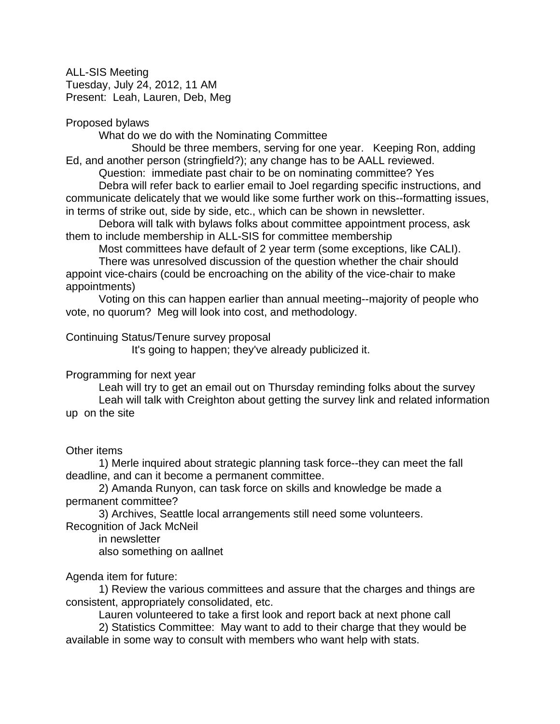ALL-SIS Meeting Tuesday, July 24, 2012, 11 AM Present: Leah, Lauren, Deb, Meg

### Proposed bylaws

What do we do with the Nominating Committee

Should be three members, serving for one year. Keeping Ron, adding Ed, and another person (stringfield?); any change has to be AALL reviewed.

Question: immediate past chair to be on nominating committee? Yes

Debra will refer back to earlier email to Joel regarding specific instructions, and communicate delicately that we would like some further work on this--formatting issues, in terms of strike out, side by side, etc., which can be shown in newsletter.

Debora will talk with bylaws folks about committee appointment process, ask them to include membership in ALL-SIS for committee membership

Most committees have default of 2 year term (some exceptions, like CALI).

There was unresolved discussion of the question whether the chair should appoint vice-chairs (could be encroaching on the ability of the vice-chair to make appointments)

Voting on this can happen earlier than annual meeting--majority of people who vote, no quorum? Meg will look into cost, and methodology.

# Continuing Status/Tenure survey proposal

It's going to happen; they've already publicized it.

# Programming for next year

Leah will try to get an email out on Thursday reminding folks about the survey Leah will talk with Creighton about getting the survey link and related information up on the site

#### Other items

1) Merle inquired about strategic planning task force--they can meet the fall deadline, and can it become a permanent committee.

2) Amanda Runyon, can task force on skills and knowledge be made a permanent committee?

3) Archives, Seattle local arrangements still need some volunteers.

Recognition of Jack McNeil

in newsletter

also something on aallnet

# Agenda item for future:

1) Review the various committees and assure that the charges and things are consistent, appropriately consolidated, etc.

Lauren volunteered to take a first look and report back at next phone call

2) Statistics Committee: May want to add to their charge that they would be available in some way to consult with members who want help with stats.